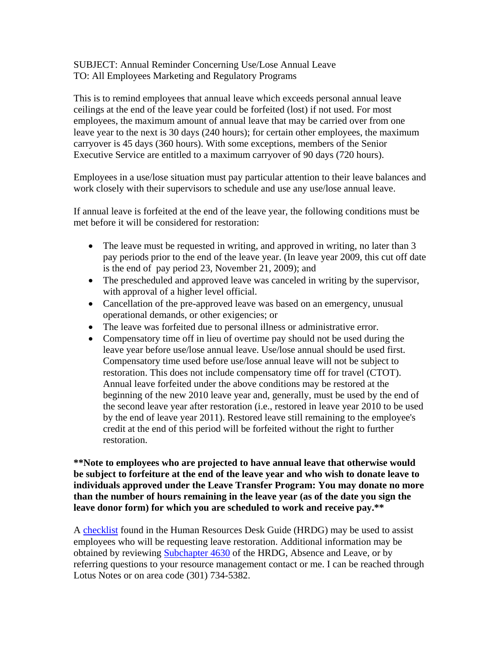## SUBJECT: Annual Reminder Concerning Use/Lose Annual Leave TO: All Employees Marketing and Regulatory Programs

This is to remind employees that annual leave which exceeds personal annual leave ceilings at the end of the leave year could be forfeited (lost) if not used. For most employees, the maximum amount of annual leave that may be carried over from one leave year to the next is 30 days (240 hours); for certain other employees, the maximum carryover is 45 days (360 hours). With some exceptions, members of the Senior Executive Service are entitled to a maximum carryover of 90 days (720 hours).

Employees in a use/lose situation must pay particular attention to their leave balances and work closely with their supervisors to schedule and use any use/lose annual leave.

If annual leave is forfeited at the end of the leave year, the following conditions must be met before it will be considered for restoration:

- The leave must be requested in writing, and approved in writing, no later than 3 pay periods prior to the end of the leave year. (In leave year 2009, this cut off date is the end of pay period 23, November 21, 2009); and
- The prescheduled and approved leave was canceled in writing by the supervisor, with approval of a higher level official.
- Cancellation of the pre-approved leave was based on an emergency, unusual operational demands, or other exigencies; or
- The leave was forfeited due to personal illness or administrative error.
- Compensatory time off in lieu of overtime pay should not be used during the leave year before use/lose annual leave. Use/lose annual should be used first. Compensatory time used before use/lose annual leave will not be subject to restoration. This does not include compensatory time off for travel (CTOT). Annual leave forfeited under the above conditions may be restored at the beginning of the new 2010 leave year and, generally, must be used by the end of the second leave year after restoration (i.e., restored in leave year 2010 to be used by the end of leave year 2011). Restored leave still remaining to the employee's credit at the end of this period will be forfeited without the right to further restoration.

**\*\*Note to employees who are projected to have annual leave that otherwise would be subject to forfeiture at the end of the leave year and who wish to donate leave to individuals approved under the Leave Transfer Program: You may donate no more than the number of hours remaining in the leave year (as of the date you sign the leave donor form) for which you are scheduled to work and receive pay.\*\*** 

[A checklist](http://www.aphis.usda.gov/mrpbs/publications/hr_desk_guide/4630/4630sbse.shtml#checklist) found in the Human Resources Desk Guide (HRDG) may be used to assist employees who will be requesting leave restoration. Additional information may be obtained by reviewin[g Subchapter 4630](http://www.aphis.usda.gov/mrpbs/publications/hr_desk_guide/4630/index.shtml) of the HRDG, Absence and Leave, or by referring questions to your resource management contact or me. I can be reached through Lotus Notes or on area code (301) 734-5382.